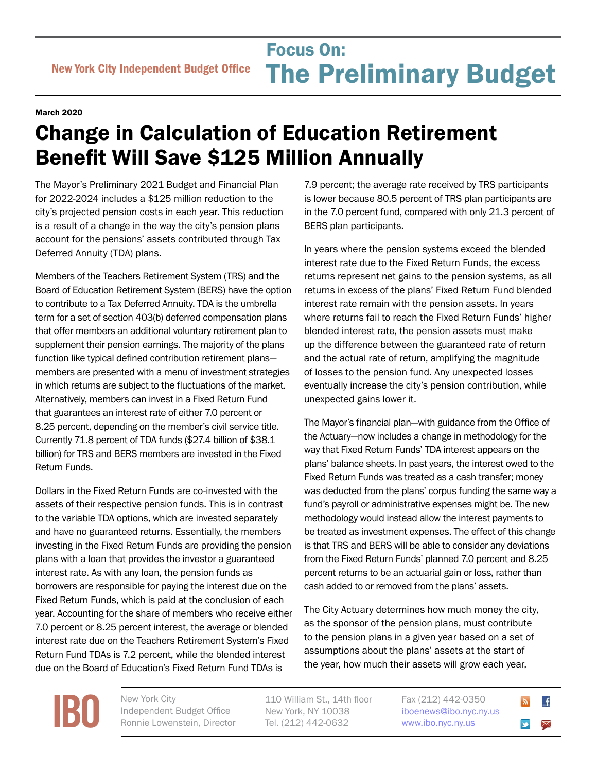## Focus On:<br>
New York City Independent Budget Office **The Preliminary Bu** Focus On: The Preliminary Budget

## March 2020

## Change in Calculation of Education Retirement Benefit Will Save \$125 Million Annually

The Mayor's Preliminary 2021 Budget and Financial Plan for 2022-2024 includes a \$125 million reduction to the city's projected pension costs in each year. This reduction is a result of a change in the way the city's pension plans account for the pensions' assets contributed through Tax Deferred Annuity (TDA) plans.

Members of the Teachers Retirement System (TRS) and the Board of Education Retirement System (BERS) have the option to contribute to a Tax Deferred Annuity. TDA is the umbrella term for a set of section 403(b) deferred compensation plans that offer members an additional voluntary retirement plan to supplement their pension earnings. The majority of the plans function like typical defined contribution retirement plans members are presented with a menu of investment strategies in which returns are subject to the fluctuations of the market. Alternatively, members can invest in a Fixed Return Fund that guarantees an interest rate of either 7.0 percent or 8.25 percent, depending on the member's civil service title. Currently 71.8 percent of TDA funds (\$27.4 billion of \$38.1 billion) for TRS and BERS members are invested in the Fixed Return Funds.

Dollars in the Fixed Return Funds are co-invested with the assets of their respective pension funds. This is in contrast to the variable TDA options, which are invested separately and have no guaranteed returns. Essentially, the members investing in the Fixed Return Funds are providing the pension plans with a loan that provides the investor a guaranteed interest rate. As with any loan, the pension funds as borrowers are responsible for paying the interest due on the Fixed Return Funds, which is paid at the conclusion of each year. Accounting for the share of members who receive either 7.0 percent or 8.25 percent interest, the average or blended interest rate due on the Teachers Retirement System's Fixed Return Fund TDAs is 7.2 percent, while the blended interest due on the Board of Education's Fixed Return Fund TDAs is

7.9 percent; the average rate received by TRS participants is lower because 80.5 percent of TRS plan participants are in the 7.0 percent fund, compared with only 21.3 percent of BERS plan participants.

In years where the pension systems exceed the blended interest rate due to the Fixed Return Funds, the excess returns represent net gains to the pension systems, as all returns in excess of the plans' Fixed Return Fund blended interest rate remain with the pension assets. In years where returns fail to reach the Fixed Return Funds' higher blended interest rate, the pension assets must make up the difference between the guaranteed rate of return and the actual rate of return, amplifying the magnitude of losses to the pension fund. Any unexpected losses eventually increase the city's pension contribution, while unexpected gains lower it.

The Mayor's financial plan—with guidance from the Office of the Actuary—now includes a change in methodology for the way that Fixed Return Funds' TDA interest appears on the plans' balance sheets. In past years, the interest owed to the Fixed Return Funds was treated as a cash transfer; money was deducted from the plans' corpus funding the same way a fund's payroll or administrative expenses might be. The new methodology would instead allow the interest payments to be treated as investment expenses. The effect of this change is that TRS and BERS will be able to consider any deviations from the Fixed Return Funds' planned 7.0 percent and 8.25 percent returns to be an actuarial gain or loss, rather than cash added to or removed from the plans' assets.

The City Actuary determines how much money the city, as the sponsor of the pension plans, must contribute to the pension plans in a given year based on a set of assumptions about the plans' assets at the start of the year, how much their assets will grow each year,

**[IBO](http://www.ibo.nyc.ny.us)** New York City<br>
Independent<br>
Ronnie Lower

Independent Budget Office Ronnie Lowenstein, Director 110 William St., 14th floor New York, NY 10038 Tel. (212) 442-0632

Fax (212) 442-0350 [iboenews@ibo.nyc.ny.us](mailto:iboenews%40ibo.nyc.ny.us?subject=)  <www.ibo.nyc.ny.us>

 $\overline{f}$ 

⊠

 $\blacktriangleright$